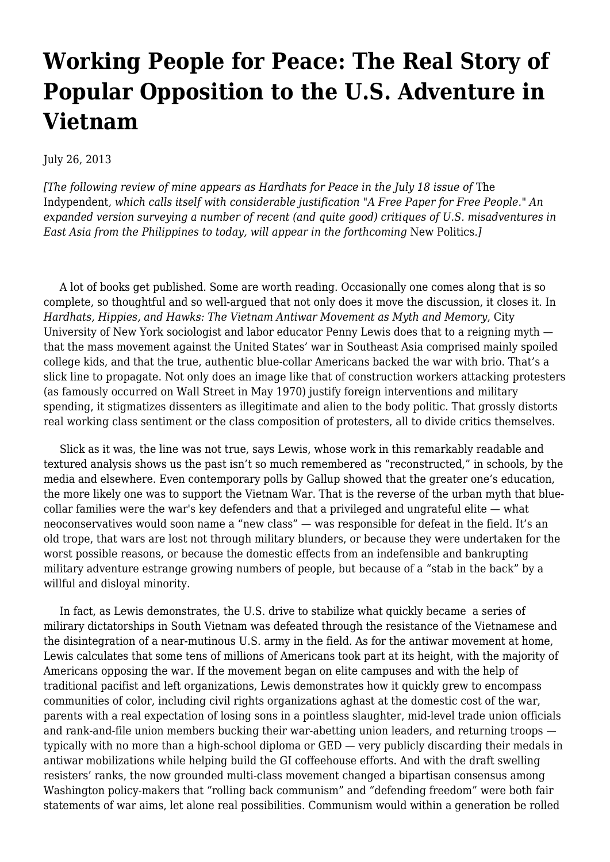## **[Working People for Peace: The Real Story of](https://newpol.org/working-people-peace-real-story-popular-opposition-us-adventure-vietnam/) [Popular Opposition to the U.S. Adventure in](https://newpol.org/working-people-peace-real-story-popular-opposition-us-adventure-vietnam/) [Vietnam](https://newpol.org/working-people-peace-real-story-popular-opposition-us-adventure-vietnam/)**

July 26, 2013

*[The following [review](http://www.indypendent.org/2013/07/16/hardhats-peace) of mine appears as Hardhats for Peace in the July 18 issue of* The Indypendent*, which calls itself with considerable justification "A Free Paper for Free People." An expanded version surveying a number of recent (and quite good) critiques of U.S. misadventures in East Asia from the Philippines to today, will appear in the forthcoming* New Politics*.]*

 A lot of books get published. Some are worth reading. Occasionally one comes along that is so complete, so thoughtful and so well-argued that not only does it move the discussion, it closes it. In *[Hardhats, Hippies, and Hawks: The Vietnam Antiwar Movement as Myth and Memory](https://www.facebook.com/HardhatsHippiesAndHawks)*, City University of New York sociologist and labor educator [Penny Lewis](http://sps.cuny.edu/whoweare/bio/53) does that to a reigning myth that the mass movement against the United States' war in Southeast Asia comprised mainly spoiled college kids, and that the true, authentic blue-collar Americans backed the war with brio. That's a slick line to propagate. Not only does an image like that of construction workers attacking protesters (as famously occurred on Wall Street in May 1970) justify foreign interventions and military spending, it stigmatizes dissenters as illegitimate and alien to the body politic. That grossly distorts real working class sentiment or the class composition of protesters, all to divide critics themselves.

 Slick as it was, the line was not true, says Lewis, whose work in this remarkably readable and textured analysis shows us the past isn't so much remembered as "reconstructed," in schools, by the media and elsewhere. Even contemporary polls by Gallup showed that the greater one's education, the more likely one was to support the Vietnam War. That is the reverse of the urban myth that bluecollar families were the war's key defenders and that a privileged and ungrateful elite — what neoconservatives would soon name a "new class" — was responsible for defeat in the field. It's an old trope, that wars are lost not through military blunders, or because they were undertaken for the worst possible reasons, or because the domestic effects from an indefensible and bankrupting military adventure estrange growing numbers of people, but because of a "stab in the back" by a willful and disloyal minority.

 In fact, as Lewis demonstrates, the U.S. drive to stabilize what quickly became a series of milirary dictatorships in South Vietnam was defeated through the resistance of the Vietnamese and the disintegration of a near-mutinous U.S. army in the field. As for the antiwar movement at home, Lewis calculates that some tens of millions of Americans took part at its height, with the majority of Americans opposing the war. If the movement began on elite campuses and with the help of traditional pacifist and left organizations, Lewis demonstrates how it quickly grew to encompass communities of color, including civil rights organizations aghast at the domestic cost of the war, parents with a real expectation of losing sons in a pointless slaughter, mid-level trade union officials and rank-and-file union members bucking their war-abetting union leaders, and returning troops typically with no more than a high-school diploma or GED — very publicly discarding their medals in antiwar mobilizations while helping build the GI coffeehouse efforts. And with the draft swelling resisters' ranks, the now grounded multi-class movement changed a bipartisan consensus among Washington policy-makers that "rolling back communism" and "defending freedom" were both fair statements of war aims, let alone real possibilities. Communism would within a generation be rolled